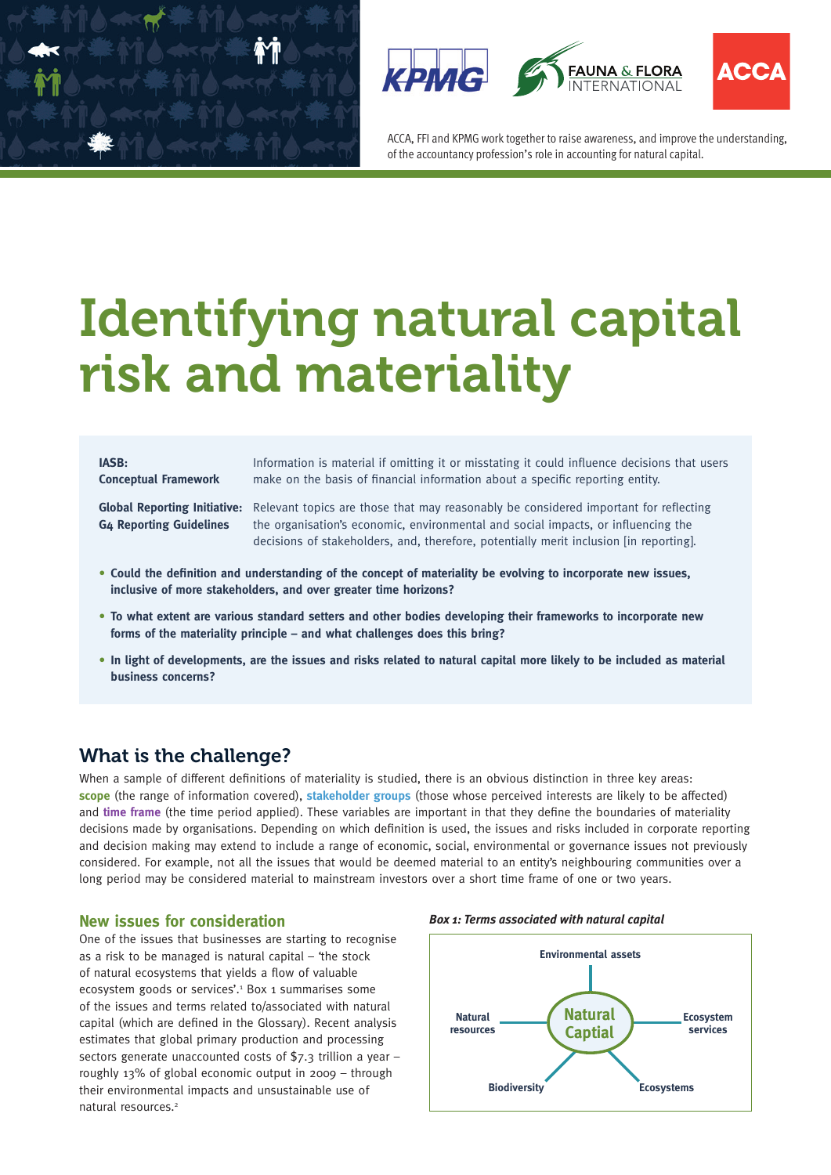





ACCA, FFI and KPMG work together to raise awareness, and improve the understanding, of the accountancy profession's role in accounting for natural capital.

# Identifying natural capital risk and materiality

**IASB:** Information is material if omitting it or misstating it could influence decisions that users **Conceptual Framework** make on the basis of financial information about a specific reporting entity.

**Global Reporting Initiative:** Relevant topics are those that may reasonably be considered important for reflecting **G4 Reporting Guidelines** the organisation's economic, environmental and social impacts, or influencing the decisions of stakeholders, and, therefore, potentially merit inclusion [in reporting].

- **Could the definition and understanding of the concept of materiality be evolving to incorporate new issues, inclusive of more stakeholders, and over greater time horizons?**
- **To what extent are various standard setters and other bodies developing their frameworks to incorporate new forms of the materiality principle – and what challenges does this bring?**
- **In light of developments, are the issues and risks related to natural capital more likely to be included as material business concerns?**

# What is the challenge?

When a sample of different definitions of materiality is studied, there is an obvious distinction in three key areas: **scope** (the range of information covered), **stakeholder groups** (those whose perceived interests are likely to be affected) and **time frame** (the time period applied). These variables are important in that they define the boundaries of materiality decisions made by organisations. Depending on which definition is used, the issues and risks included in corporate reporting and decision making may extend to include a range of economic, social, environmental or governance issues not previously considered. For example, not all the issues that would be deemed material to an entity's neighbouring communities over a long period may be considered material to mainstream investors over a short time frame of one or two years.

### **New issues for consideration**

One of the issues that businesses are starting to recognise as a risk to be managed is natural capital – 'the stock of natural ecosystems that yields a flow of valuable ecosystem goods or services'.<sup>1</sup> Box 1 summarises some of the issues and terms related to/associated with natural capital (which are defined in the Glossary). Recent analysis estimates that global primary production and processing sectors generate unaccounted costs of \$7.3 trillion a year – roughly 13% of global economic output in 2009 – through their environmental impacts and unsustainable use of natural resources.2



*Box 1: Terms associated with natural capital*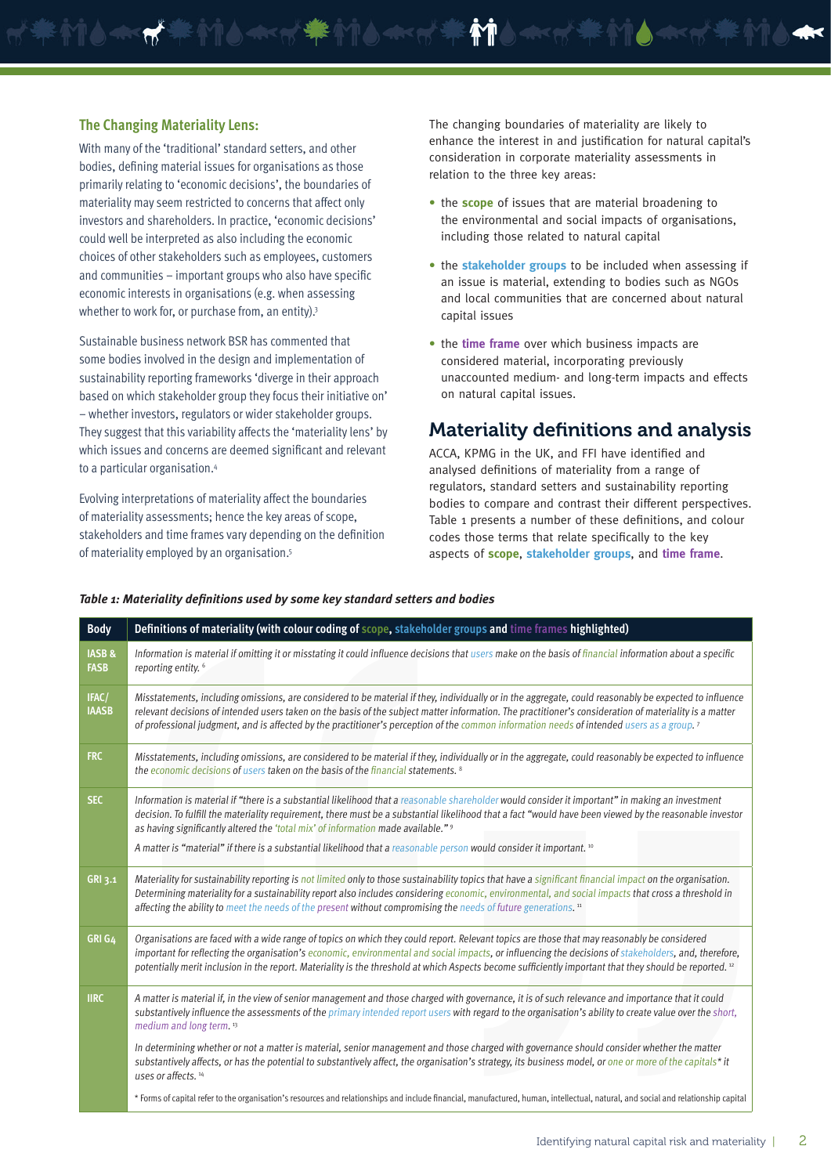#### **The Changing Materiality Lens:**

With many of the 'traditional' standard setters, and other bodies, defining material issues for organisations as those primarily relating to 'economic decisions', the boundaries of materiality may seem restricted to concerns that affect only investors and shareholders. In practice, 'economic decisions' could well be interpreted as also including the economic choices of other stakeholders such as employees, customers and communities – important groups who also have specific economic interests in organisations (e.g. when assessing whether to work for, or purchase from, an entity).<sup>3</sup>

Sustainable business network BSR has commented that some bodies involved in the design and implementation of sustainability reporting frameworks 'diverge in their approach based on which stakeholder group they focus their initiative on' – whether investors, regulators or wider stakeholder groups. They suggest that this variability affects the 'materiality lens' by which issues and concerns are deemed significant and relevant to a particular organisation.4

Evolving interpretations of materiality affect the boundaries of materiality assessments; hence the key areas of scope, stakeholders and time frames vary depending on the definition of materiality employed by an organisation.5

The changing boundaries of materiality are likely to enhance the interest in and justification for natural capital's consideration in corporate materiality assessments in relation to the three key areas:

- the **scope** of issues that are material broadening to the environmental and social impacts of organisations, including those related to natural capital
- the **stakeholder groups** to be included when assessing if an issue is material, extending to bodies such as NGOs and local communities that are concerned about natural capital issues
- the **time frame** over which business impacts are considered material, incorporating previously unaccounted medium- and long-term impacts and effects on natural capital issues.

# Materiality definitions and analysis

ACCA, KPMG in the UK, and FFI have identified and analysed definitions of materiality from a range of regulators, standard setters and sustainability reporting bodies to compare and contrast their different perspectives. Table 1 presents a number of these definitions, and colour codes those terms that relate specifically to the key aspects of **scope**, **stakeholder groups**, and **time frame**.

| <b>Body</b>                      | Definitions of materiality (with colour coding of scope, stakeholder groups and time frames highlighted)                                                                                                                                                                                                                                                                                                                                                                                                                 |  |  |  |  |
|----------------------------------|--------------------------------------------------------------------------------------------------------------------------------------------------------------------------------------------------------------------------------------------------------------------------------------------------------------------------------------------------------------------------------------------------------------------------------------------------------------------------------------------------------------------------|--|--|--|--|
| <b>IASB &amp;</b><br><b>FASB</b> | Information is material if omitting it or misstating it could influence decisions that users make on the basis of financial information about a specific<br>reporting entity. <sup>6</sup>                                                                                                                                                                                                                                                                                                                               |  |  |  |  |
| IFAC/<br><b>IAASB</b>            | Misstatements, including omissions, are considered to be material if they, individually or in the aggregate, could reasonably be expected to influence<br>relevant decisions of intended users taken on the basis of the subject matter information. The practitioner's consideration of materiality is a matter<br>of professional judgment, and is affected by the practitioner's perception of the common information needs of intended users as a group. <sup>7</sup>                                                |  |  |  |  |
| <b>FRC</b>                       | Misstatements, including omissions, are considered to be material if they, individually or in the aggregate, could reasonably be expected to influence<br>the economic decisions of users taken on the basis of the financial statements. <sup>8</sup>                                                                                                                                                                                                                                                                   |  |  |  |  |
| <b>SEC</b>                       | Information is material if "there is a substantial likelihood that a reasonable shareholder would consider it important" in making an investment<br>decision. To fulfill the materiality requirement, there must be a substantial likelihood that a fact "would have been viewed by the reasonable investor<br>as having significantly altered the 'total mix' of information made available." 9<br>A matter is "material" if there is a substantial likelihood that a reasonable person would consider it important. 10 |  |  |  |  |
|                                  |                                                                                                                                                                                                                                                                                                                                                                                                                                                                                                                          |  |  |  |  |
| GRI 3.1                          | Materiality for sustainability reporting is not limited only to those sustainability topics that have a significant financial impact on the organisation.<br>Determining materiality for a sustainability report also includes considering economic, environmental, and social impacts that cross a threshold in<br>affecting the ability to meet the needs of the present without compromising the needs of future generations. <sup>11</sup>                                                                           |  |  |  |  |
| GRI G4                           | Organisations are faced with a wide range of topics on which they could report. Relevant topics are those that may reasonably be considered<br>important for reflecting the organisation's economic, environmental and social impacts, or influencing the decisions of stakeholders, and, therefore,<br>potentially merit inclusion in the report. Materiality is the threshold at which Aspects become sufficiently important that they should be reported. <sup>12</sup>                                               |  |  |  |  |
| <b>IIRC</b>                      | A matter is material if, in the view of senior management and those charged with governance, it is of such relevance and importance that it could<br>substantively influence the assessments of the primary intended report users with regard to the organisation's ability to create value over the short,<br>medium and long term. <sup>13</sup>                                                                                                                                                                       |  |  |  |  |
|                                  | In determining whether or not a matter is material, senior management and those charged with governance should consider whether the matter<br>substantively affects, or has the potential to substantively affect, the organisation's strategy, its business model, or one or more of the capitals* it<br>uses or affects. 14                                                                                                                                                                                            |  |  |  |  |
|                                  | * Forms of capital refer to the organisation's resources and relationships and include financial, manufactured, human, intellectual, natural, and social and relationship capital                                                                                                                                                                                                                                                                                                                                        |  |  |  |  |

#### *Table 1: Materiality definitions used by some key standard setters and bodies*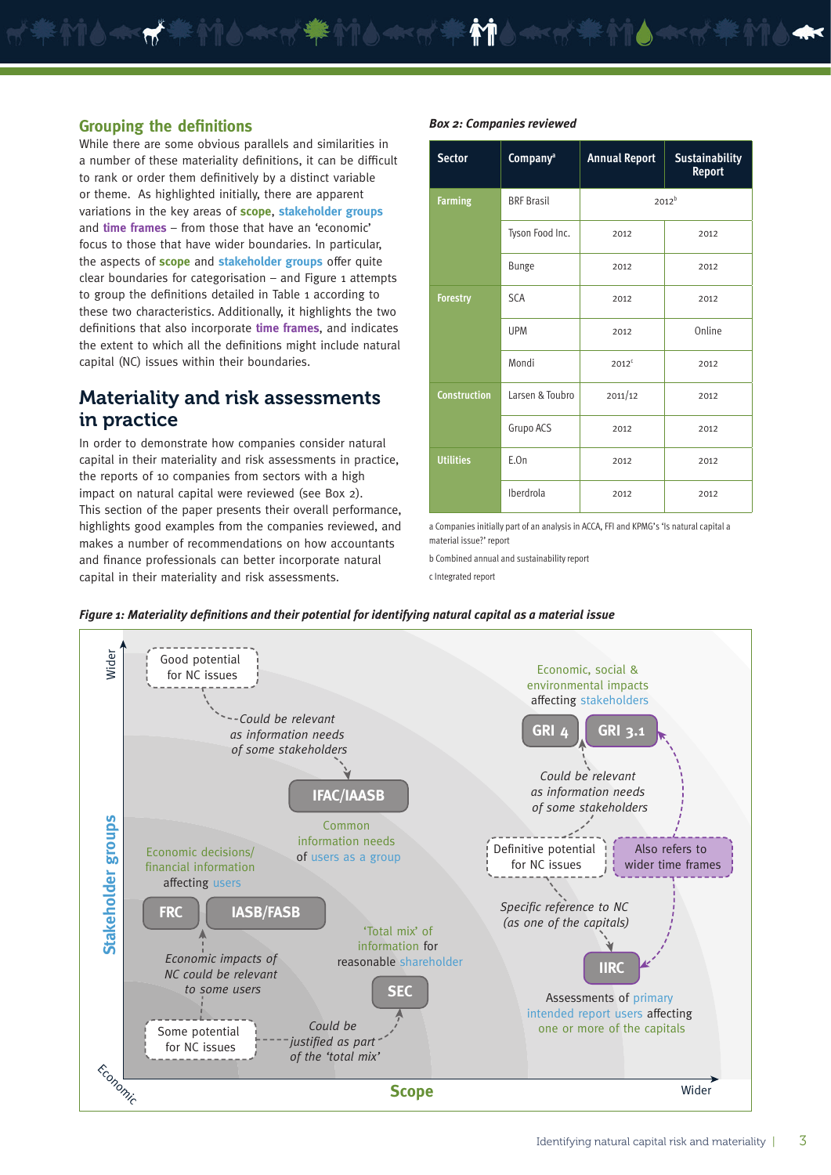#### **Grouping the definitions**

While there are some obvious parallels and similarities in a number of these materiality definitions, it can be difficult to rank or order them definitively by a distinct variable or theme. As highlighted initially, there are apparent variations in the key areas of **scope**, **stakeholder groups** and **time frames** – from those that have an 'economic' focus to those that have wider boundaries. In particular, the aspects of **scope** and **stakeholder groups** offer quite  $clear$  boundaries for categorisation – and Figure 1 attempts to group the definitions detailed in Table 1 according to these two characteristics. Additionally, it highlights the two definitions that also incorporate **time frames**, and indicates the extent to which all the definitions might include natural capital (NC) issues within their boundaries.

# Materiality and risk assessments in practice

In order to demonstrate how companies consider natural capital in their materiality and risk assessments in practice, the reports of 10 companies from sectors with a high impact on natural capital were reviewed (see Box 2). This section of the paper presents their overall performance, highlights good examples from the companies reviewed, and makes a number of recommendations on how accountants and finance professionals can better incorporate natural capital in their materiality and risk assessments.

|  | <b>Sector</b>       | Company <sup>a</sup> | <b>Annual Report</b> | <b>Sustainability</b><br><b>Report</b> |  |
|--|---------------------|----------------------|----------------------|----------------------------------------|--|
|  | <b>Farming</b>      | <b>BRF Brasil</b>    |                      | $2012^b$                               |  |
|  |                     | Tyson Food Inc.      | 2012                 | 2012                                   |  |
|  |                     | <b>Bunge</b>         | 2012                 | 2012                                   |  |
|  | <b>Forestry</b>     | <b>SCA</b>           | 2012                 | 2012                                   |  |
|  |                     | <b>UPM</b>           | 2012                 | Online                                 |  |
|  |                     | Mondi                | $2012^c$             | 2012                                   |  |
|  | <b>Construction</b> | Larsen & Toubro      | 2011/12              | 2012                                   |  |
|  |                     | Grupo ACS            | 2012                 | 2012                                   |  |
|  | <b>Utilities</b>    | E.On                 | 2012                 | 2012                                   |  |
|  |                     | Iberdrola            | 2012                 | 2012                                   |  |

a Companies initially part of an analysis in ACCA, FFI and KPMG's 'Is natural capital a material issue?' report

b Combined annual and sustainability report

*Box 2: Companies reviewed*

c Integrated report



#### *Figure 1: Materiality definitions and their potential for identifying natural capital as a material issue*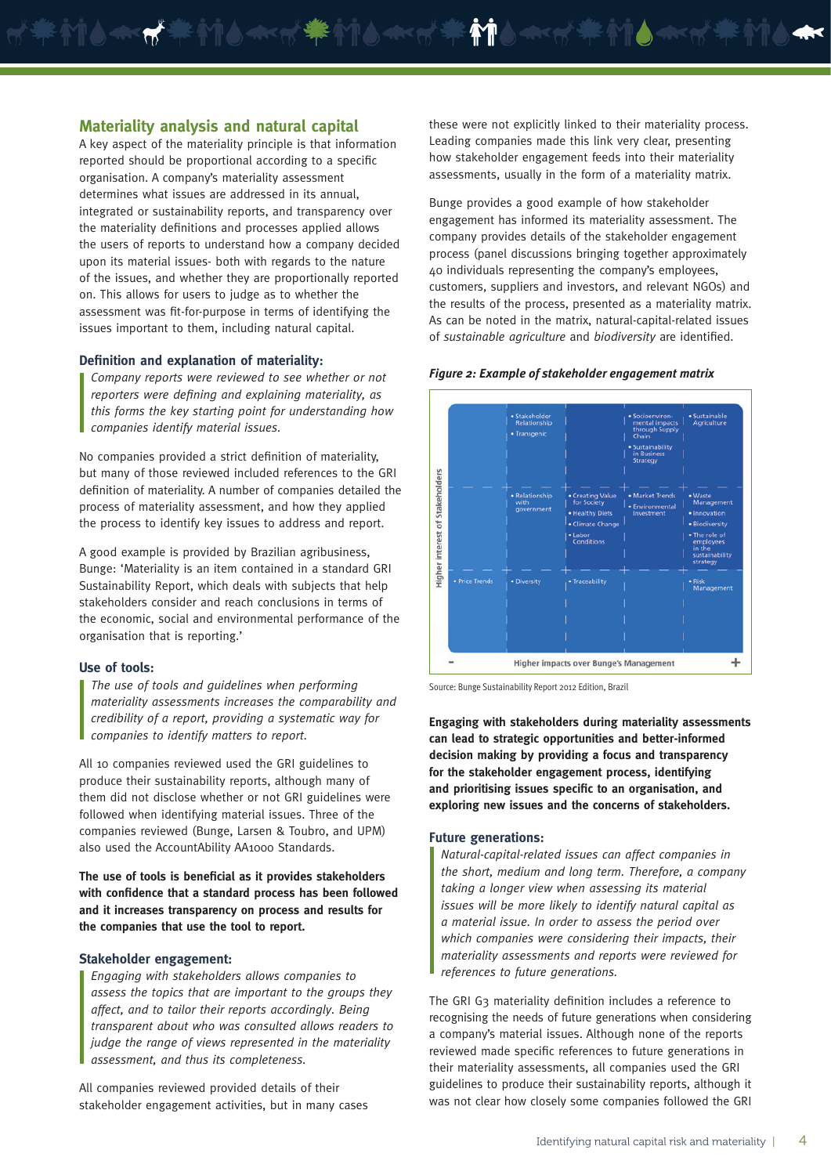#### **Materiality analysis and natural capital**

 $\blacktriangle$ 

A key aspect of the materiality principle is that information reported should be proportional according to a specific organisation. A company's materiality assessment determines what issues are addressed in its annual, integrated or sustainability reports, and transparency over the materiality definitions and processes applied allows the users of reports to understand how a company decided upon its material issues- both with regards to the nature of the issues, and whether they are proportionally reported on. This allows for users to judge as to whether the assessment was fit-for-purpose in terms of identifying the issues important to them, including natural capital.

#### **Definition and explanation of materiality:**

*Company reports were reviewed to see whether or not reporters were defining and explaining materiality, as this forms the key starting point for understanding how companies identify material issues.*

No companies provided a strict definition of materiality, but many of those reviewed included references to the GRI definition of materiality. A number of companies detailed the process of materiality assessment, and how they applied the process to identify key issues to address and report.

A good example is provided by Brazilian agribusiness, Bunge: 'Materiality is an item contained in a standard GRI Sustainability Report, which deals with subjects that help stakeholders consider and reach conclusions in terms of the economic, social and environmental performance of the organisation that is reporting.'

#### **Use of tools:**

*The use of tools and guidelines when performing materiality assessments increases the comparability and credibility of a report, providing a systematic way for companies to identify matters to report.* 

All 10 companies reviewed used the GRI guidelines to produce their sustainability reports, although many of them did not disclose whether or not GRI guidelines were followed when identifying material issues. Three of the companies reviewed (Bunge, Larsen & Toubro, and UPM) also used the AccountAbility AA1000 Standards.

**The use of tools is beneficial as it provides stakeholders with confidence that a standard process has been followed and it increases transparency on process and results for the companies that use the tool to report.**

#### **Stakeholder engagement:**

*Engaging with stakeholders allows companies to assess the topics that are important to the groups they affect, and to tailor their reports accordingly. Being transparent about who was consulted allows readers to judge the range of views represented in the materiality assessment, and thus its completeness.* 

All companies reviewed provided details of their stakeholder engagement activities, but in many cases these were not explicitly linked to their materiality process. Leading companies made this link very clear, presenting how stakeholder engagement feeds into their materiality assessments, usually in the form of a materiality matrix.

Bunge provides a good example of how stakeholder engagement has informed its materiality assessment. The company provides details of the stakeholder engagement process (panel discussions bringing together approximately 40 individuals representing the company's employees, customers, suppliers and investors, and relevant NGOs) and the results of the process, presented as a materiality matrix. As can be noted in the matrix, natural-capital-related issues of *sustainable agriculture* and *biodiversity* are identified.



#### *Figure 2: Example of stakeholder engagement matrix*

Source: Bunge Sustainability Report 2012 Edition, Brazil

**Engaging with stakeholders during materiality assessments can lead to strategic opportunities and better-informed decision making by providing a focus and transparency for the stakeholder engagement process, identifying and prioritising issues specific to an organisation, and exploring new issues and the concerns of stakeholders.** 

#### **Future generations:**

*Natural-capital-related issues can affect companies in the short, medium and long term. Therefore, a company taking a longer view when assessing its material issues will be more likely to identify natural capital as a material issue. In order to assess the period over which companies were considering their impacts, their materiality assessments and reports were reviewed for references to future generations.*

The GRI G3 materiality definition includes a reference to recognising the needs of future generations when considering a company's material issues. Although none of the reports reviewed made specific references to future generations in their materiality assessments, all companies used the GRI guidelines to produce their sustainability reports, although it was not clear how closely some companies followed the GRI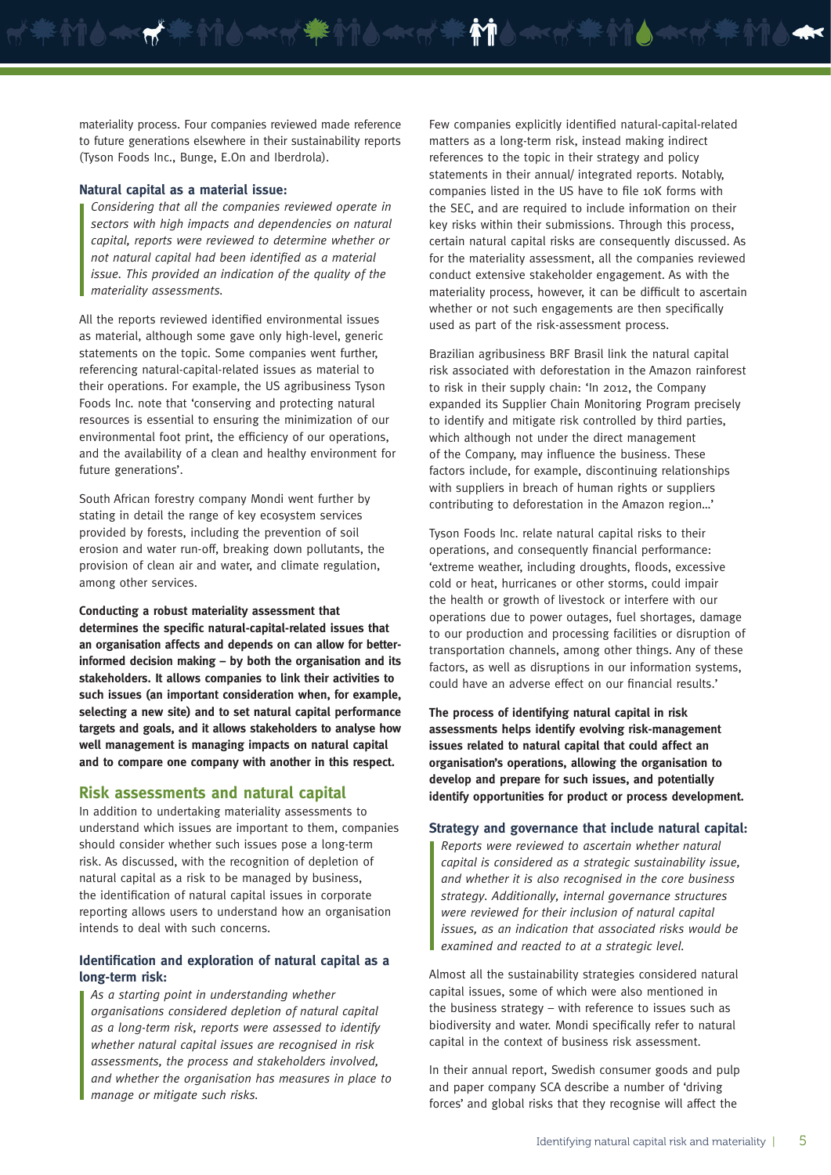materiality process. Four companies reviewed made reference to future generations elsewhere in their sustainability reports (Tyson Foods Inc., Bunge, E.On and Iberdrola).

**Accept Strategy** 

#### **Natural capital as a material issue:**

*Considering that all the companies reviewed operate in sectors with high impacts and dependencies on natural capital, reports were reviewed to determine whether or not natural capital had been identified as a material issue. This provided an indication of the quality of the materiality assessments.*

All the reports reviewed identified environmental issues as material, although some gave only high-level, generic statements on the topic. Some companies went further, referencing natural-capital-related issues as material to their operations. For example, the US agribusiness Tyson Foods Inc. note that 'conserving and protecting natural resources is essential to ensuring the minimization of our environmental foot print, the efficiency of our operations, and the availability of a clean and healthy environment for future generations'.

South African forestry company Mondi went further by stating in detail the range of key ecosystem services provided by forests, including the prevention of soil erosion and water run-off, breaking down pollutants, the provision of clean air and water, and climate regulation, among other services.

**Conducting a robust materiality assessment that determines the specific natural-capital-related issues that an organisation affects and depends on can allow for betterinformed decision making – by both the organisation and its stakeholders. It allows companies to link their activities to such issues (an important consideration when, for example, selecting a new site) and to set natural capital performance targets and goals, and it allows stakeholders to analyse how well management is managing impacts on natural capital and to compare one company with another in this respect.** 

#### **Risk assessments and natural capital**

In addition to undertaking materiality assessments to understand which issues are important to them, companies should consider whether such issues pose a long-term risk. As discussed, with the recognition of depletion of natural capital as a risk to be managed by business, the identification of natural capital issues in corporate reporting allows users to understand how an organisation intends to deal with such concerns.

#### **Identification and exploration of natural capital as a long-term risk:**

*As a starting point in understanding whether organisations considered depletion of natural capital as a long-term risk, reports were assessed to identify whether natural capital issues are recognised in risk assessments, the process and stakeholders involved, and whether the organisation has measures in place to manage or mitigate such risks.* 

Few companies explicitly identified natural-capital-related matters as a long-term risk, instead making indirect references to the topic in their strategy and policy statements in their annual/ integrated reports. Notably, companies listed in the US have to file 10K forms with the SEC, and are required to include information on their key risks within their submissions. Through this process, certain natural capital risks are consequently discussed. As for the materiality assessment, all the companies reviewed conduct extensive stakeholder engagement. As with the materiality process, however, it can be difficult to ascertain whether or not such engagements are then specifically used as part of the risk-assessment process.

Brazilian agribusiness BRF Brasil link the natural capital risk associated with deforestation in the Amazon rainforest to risk in their supply chain: 'In 2012, the Company expanded its Supplier Chain Monitoring Program precisely to identify and mitigate risk controlled by third parties, which although not under the direct management of the Company, may influence the business. These factors include, for example, discontinuing relationships with suppliers in breach of human rights or suppliers contributing to deforestation in the Amazon region…'

Tyson Foods Inc. relate natural capital risks to their operations, and consequently financial performance: 'extreme weather, including droughts, floods, excessive cold or heat, hurricanes or other storms, could impair the health or growth of livestock or interfere with our operations due to power outages, fuel shortages, damage to our production and processing facilities or disruption of transportation channels, among other things. Any of these factors, as well as disruptions in our information systems, could have an adverse effect on our financial results.'

**The process of identifying natural capital in risk assessments helps identify evolving risk-management issues related to natural capital that could affect an organisation's operations, allowing the organisation to develop and prepare for such issues, and potentially identify opportunities for product or process development.** 

#### **Strategy and governance that include natural capital:**

*Reports were reviewed to ascertain whether natural capital is considered as a strategic sustainability issue, and whether it is also recognised in the core business strategy. Additionally, internal governance structures were reviewed for their inclusion of natural capital issues, as an indication that associated risks would be examined and reacted to at a strategic level.*

Almost all the sustainability strategies considered natural capital issues, some of which were also mentioned in the business strategy – with reference to issues such as biodiversity and water. Mondi specifically refer to natural capital in the context of business risk assessment.

In their annual report, Swedish consumer goods and pulp and paper company SCA describe a number of 'driving forces' and global risks that they recognise will affect the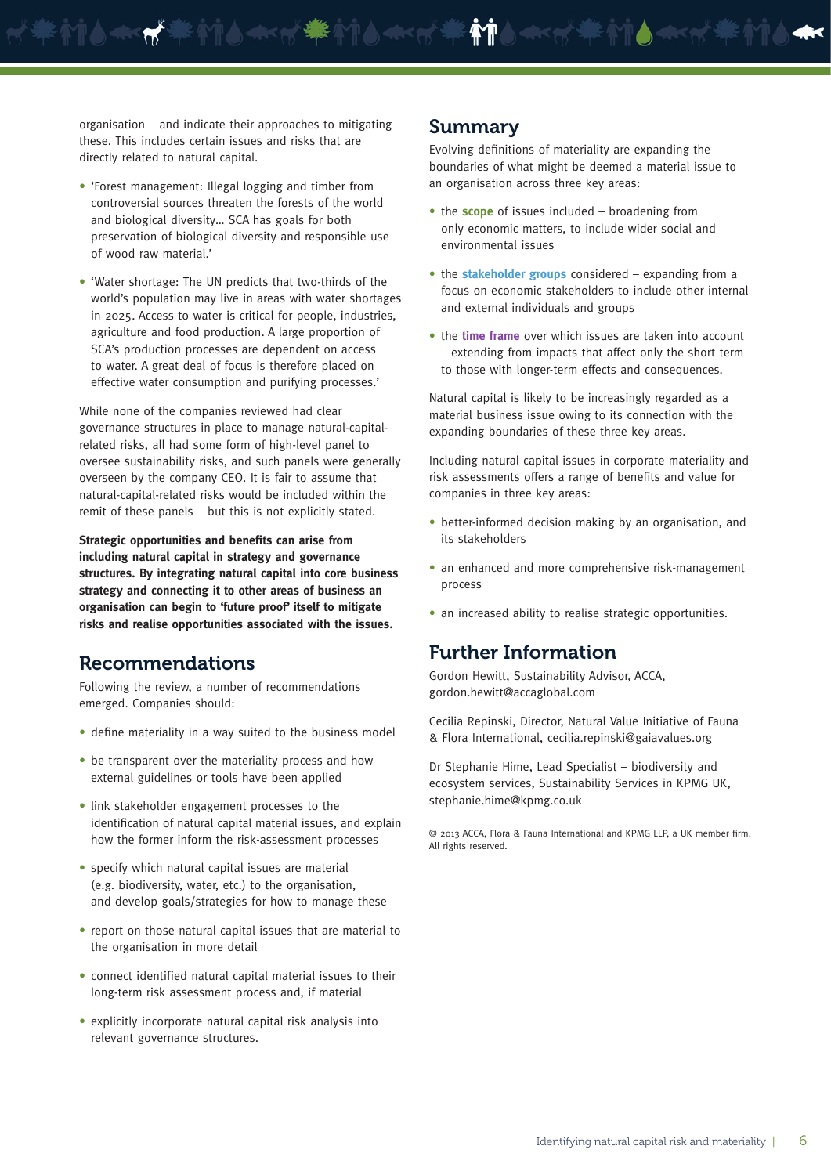organisation – and indicate their approaches to mitigating these. This includes certain issues and risks that are directly related to natural capital.

- 'Forest management: Illegal logging and timber from controversial sources threaten the forests of the world and biological diversity… SCA has goals for both preservation of biological diversity and responsible use of wood raw material.'
- 'Water shortage: The UN predicts that two-thirds of the world's population may live in areas with water shortages in 2025. Access to water is critical for people, industries, agriculture and food production. A large proportion of SCA's production processes are dependent on access to water. A great deal of focus is therefore placed on effective water consumption and purifying processes.'

While none of the companies reviewed had clear governance structures in place to manage natural-capitalrelated risks, all had some form of high-level panel to oversee sustainability risks, and such panels were generally overseen by the company CEO. It is fair to assume that natural-capital-related risks would be included within the remit of these panels – but this is not explicitly stated.

**Strategic opportunities and benefits can arise from including natural capital in strategy and governance structures. By integrating natural capital into core business strategy and connecting it to other areas of business an organisation can begin to 'future proof' itself to mitigate risks and realise opportunities associated with the issues.**

## Recommendations

Following the review, a number of recommendations emerged. Companies should:

- define materiality in a way suited to the business model
- be transparent over the materiality process and how external guidelines or tools have been applied
- link stakeholder engagement processes to the identification of natural capital material issues, and explain how the former inform the risk-assessment processes
- specify which natural capital issues are material (e.g. biodiversity, water, etc.) to the organisation, and develop goals/strategies for how to manage these
- report on those natural capital issues that are material to the organisation in more detail
- connect identified natural capital material issues to their long-term risk assessment process and, if material
- explicitly incorporate natural capital risk analysis into relevant governance structures.

#### Summary

Evolving definitions of materiality are expanding the boundaries of what might be deemed a material issue to an organisation across three key areas:

- the **scope** of issues included broadening from only economic matters, to include wider social and environmental issues
- the **stakeholder groups** considered expanding from a focus on economic stakeholders to include other internal and external individuals and groups
- the **time frame** over which issues are taken into account – extending from impacts that affect only the short term to those with longer-term effects and consequences.

Natural capital is likely to be increasingly regarded as a material business issue owing to its connection with the expanding boundaries of these three key areas.

Including natural capital issues in corporate materiality and risk assessments offers a range of benefits and value for companies in three key areas:

- better-informed decision making by an organisation, and its stakeholders
- an enhanced and more comprehensive risk-management process
- an increased ability to realise strategic opportunities.

# Further Information

Gordon Hewitt, Sustainability Advisor, ACCA, gordon.hewitt@accaglobal.com

Cecilia Repinski, Director, Natural Value Initiative of Fauna & Flora International, cecilia.repinski@gaiavalues.org

Dr Stephanie Hime, Lead Specialist – biodiversity and ecosystem services, Sustainability Services in KPMG UK, stephanie.hime@kpmg.co.uk

© 2013 ACCA, Flora & Fauna International and KPMG LLP, a UK member firm. All rights reserved.